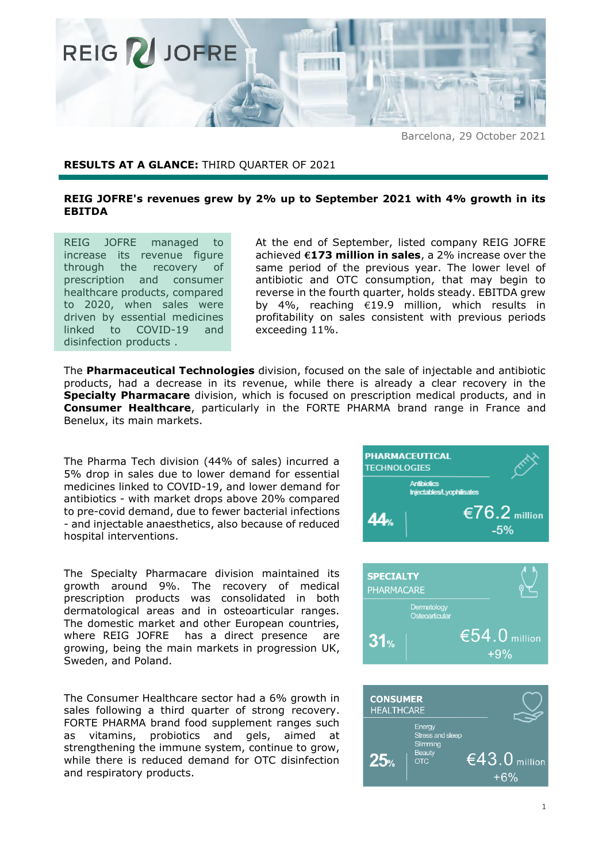

Barcelona, 29 October 2021

## **RESULTS AT A GLANCE:** THIRD QUARTER OF 2021

## **REIG JOFRE's revenues grew by 2% up to September 2021 with 4% growth in its EBITDA**

REIG JOFRE managed to increase its revenue figure through the recovery of prescription and consumer healthcare products, compared to 2020, when sales were driven by essential medicines linked to COVID-19 and disinfection products .

At the end of September, listed company REIG JOFRE achieved **€173 million in sales**, a 2% increase over the same period of the previous year. The lower level of antibiotic and OTC consumption, that may begin to reverse in the fourth quarter, holds steady. EBITDA grew by 4%, reaching €19.9 million, which results in profitability on sales consistent with previous periods exceeding 11%.

The **Pharmaceutical Technologies** division, focused on the sale of injectable and antibiotic products, had a decrease in its revenue, while there is already a clear recovery in the **Specialty Pharmacare** division, which is focused on prescription medical products, and in **Consumer Healthcare**, particularly in the FORTE PHARMA brand range in France and Benelux, its main markets.

The Pharma Tech division (44% of sales) incurred a 5% drop in sales due to lower demand for essential medicines linked to COVID-19, and lower demand for antibiotics - with market drops above 20% compared to pre-covid demand, due to fewer bacterial infections - and injectable anaesthetics, also because of reduced hospital interventions.

The Specialty Pharmacare division maintained its growth around 9%. The recovery of medical prescription products was consolidated in both dermatological areas and in osteoarticular ranges. The domestic market and other European countries, where REIG JOFRE has a direct presence are growing, being the main markets in progression UK, Sweden, and Poland.

The Consumer Healthcare sector had a 6% growth in sales following a third quarter of strong recovery. FORTE PHARMA brand food supplement ranges such as vitamins, probiotics and gels, aimed at strengthening the immune system, continue to grow, while there is reduced demand for OTC disinfection and respiratory products.





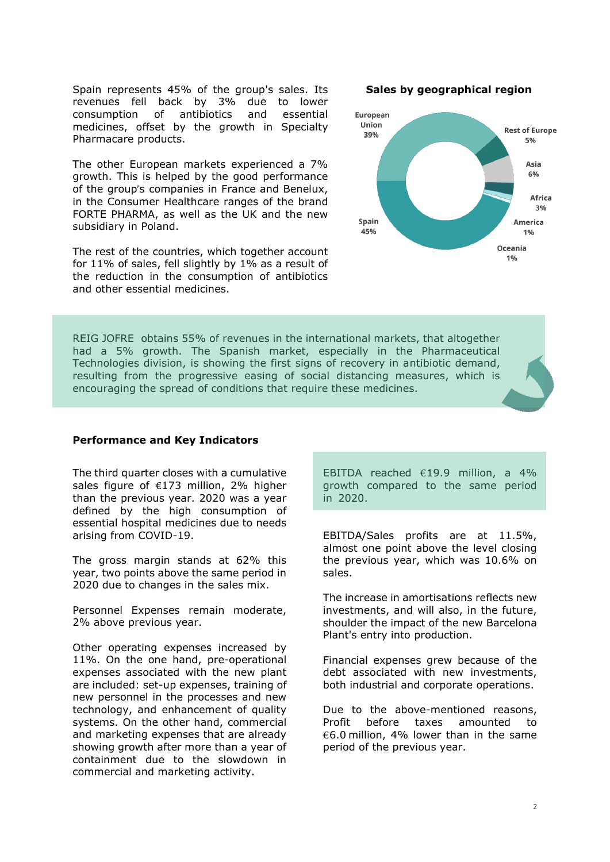Spain represents 45% of the group's sales. Its revenues fell back by 3% due to lower consumption of antibiotics and essential medicines, offset by the growth in Specialty Pharmacare products.

The other European markets experienced a 7% growth. This is helped by the good performance of the group's companies in France and Benelux, in the Consumer Healthcare ranges of the brand FORTE PHARMA, as well as the UK and the new subsidiary in Poland.

The rest of the countries, which together account for 11% of sales, fell slightly by 1% as a result of the reduction in the consumption of antibiotics and other essential medicines.

**Sales by geographical region**



REIG JOFRE obtains 55% of revenues in the international markets, that altogether had a 5% growth. The Spanish market, especially in the Pharmaceutical Technologies division, is showing the first signs of recovery in antibiotic demand, resulting from the progressive easing of social distancing measures, which is encouraging the spread of conditions that require these medicines.

## **Performance and Key Indicators**

The third quarter closes with a cumulative sales figure of  $£173$  million, 2% higher than the previous year. 2020 was a year defined by the high consumption of essential hospital medicines due to needs arising from COVID-19.

The gross margin stands at 62% this year, two points above the same period in 2020 due to changes in the sales mix.

Personnel Expenses remain moderate, 2% above previous year.

Other operating expenses increased by 11%. On the one hand, pre-operational expenses associated with the new plant are included: set-up expenses, training of new personnel in the processes and new technology, and enhancement of quality systems. On the other hand, commercial and marketing expenses that are already showing growth after more than a year of containment due to the slowdown in commercial and marketing activity.

EBITDA reached €19.9 million, a 4% growth compared to the same period in 2020.

EBITDA/Sales profits are at 11.5%, almost one point above the level closing the previous year, which was 10.6% on sales.

The increase in amortisations reflects new investments, and will also, in the future, shoulder the impact of the new Barcelona Plant's entry into production.

Financial expenses grew because of the debt associated with new investments, both industrial and corporate operations.

Due to the above-mentioned reasons, Profit before taxes amounted to €6.0 million, 4% lower than in the same period of the previous year.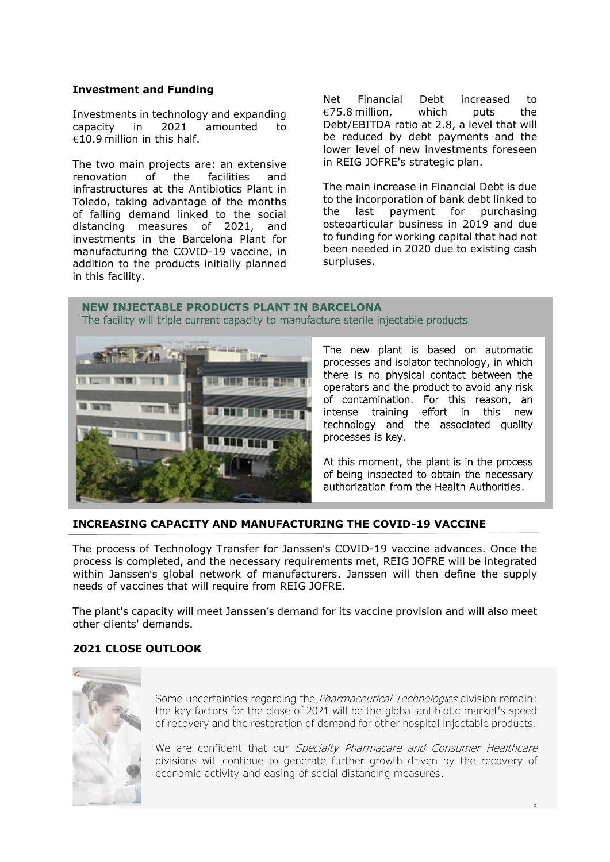# **Investment and Funding**

Investments in technology and expanding capacity in 2021 amounted to  $€10.9$  million in this half.

The two main projects are: an extensive renovation of the facilities and infrastructures at the Antibiotics Plant in Toledo, taking advantage of the months of falling demand linked to the social distancing measures of 2021, and investments in the Barcelona Plant for manufacturing the COVID-19 vaccine, in addition to the products initially planned in this facility.

Net Financial Debt increased to  $\epsilon$ 75.8 million, which puts the Debt/EBITDA ratio at 2.8, a level that will be reduced by debt payments and the lower level of new investments foreseen in REIG JOFRE's strategic plan.

The main increase in Financial Debt is due to the incorporation of bank debt linked to the last payment for purchasing osteoarticular business in 2019 and due to funding for working capital that had not been needed in 2020 due to existing cash surpluses.

## **NEW INJECTABLE PRODUCTS PLANT IN BARCELONA** The facility will triple current capacity to manufacture sterile injectable products



The new plant is based on automatic processes and isolator technology, in which there is no physical contact between the operators and the product to avoid any risk of contamination. For this reason, an intense training effort in this new technology and the associated quality processes is key.

At this moment, the plant is in the process of being inspected to obtain the necessary authorization from the Health Authorities.

# **INCREASING CAPACITY AND MANUFACTURING THE COVID-19 VACCINE**

The process of Technology Transfer for Janssen's COVID-19 vaccine advances. Once the process is completed, and the necessary requirements met, REIG JOFRE will be integrated within Janssen's global network of manufacturers. Janssen will then define the supply needs of vaccines that will require from REIG JOFRE.

The plant's capacity will meet Janssen's demand for its vaccine provision and will also meet other clients' demands.

# **2021 CLOSE OUTLOOK**



Some uncertainties regarding the *Pharmaceutical Technologies* division remain: the key factors for the close of 2021 will be the global antibiotic market's speed of recovery and the restoration of demand for other hospital injectable products.

We are confident that our Specialty Pharmacare and Consumer Healthcare divisions will continue to generate further growth driven by the recovery of economic activity and easing of social distancing measures.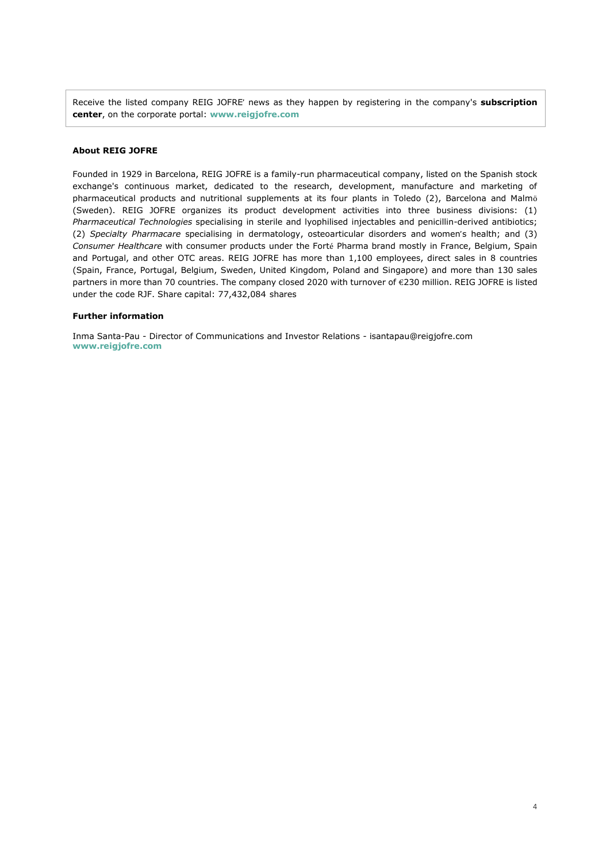Receive the listed company REIG JOFRE' news as they happen by registering in the company's **subscription center**, on the corporate portal: **www[.reigjofre.](https://www.reigjofre.com/)com**

#### **About REIG JOFRE**

Founded in 1929 in Barcelona, REIG JOFRE is a family-run pharmaceutical company, listed on the Spanish stock exchange's continuous market, dedicated to the research, development, manufacture and marketing of pharmaceutical products and nutritional supplements at its four plants in Toledo (2), Barcelona and Malmö (Sweden). REIG JOFRE organizes its product development activities into three business divisions: (1) *Pharmaceutical Technologies* specialising in sterile and lyophilised injectables and penicillin-derived antibiotics; (2) *Specialty Pharmacare* specialising in dermatology, osteoarticular disorders and women's health; and (3) *Consumer Healthcare* with consumer products under the Forté Pharma brand mostly in France, Belgium, Spain and Portugal, and other OTC areas. REIG JOFRE has more than 1,100 employees, direct sales in 8 countries (Spain, France, Portugal, Belgium, Sweden, United Kingdom, Poland and Singapore) and more than 130 sales partners in more than 70 countries. The company closed 2020 with turnover of €230 million. REIG JOFRE is listed under the code RJF. Share capital: 77,432,084 shares

#### **Further information**

Inma Santa-Pau - Director of Communications and Investor Relations - [isantapau@reigjofre.com](mailto:isantapau@reigjofre.com) **www[.reigjofre.](https://www.reigjofre.com/)com**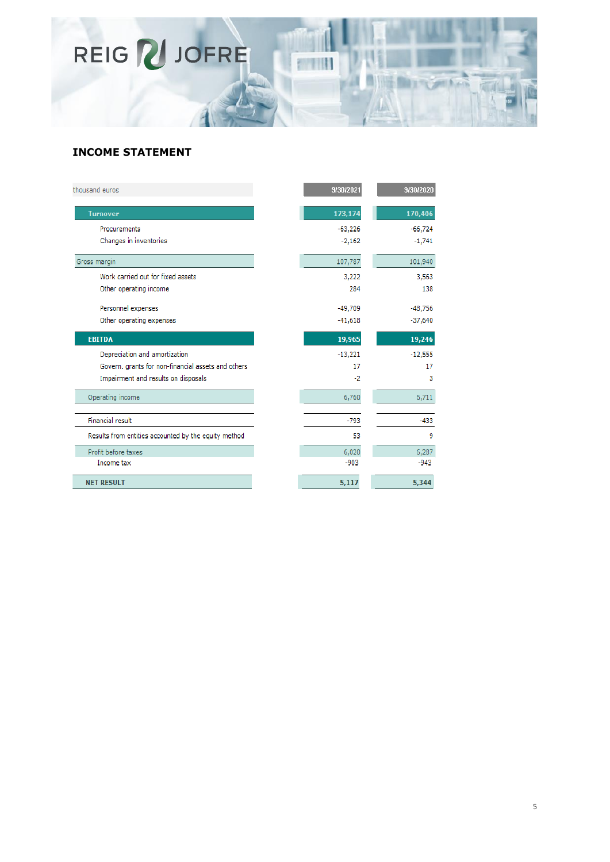

# **INCOME STATEMENT**

| thousand euros                                       | 9/30/2021 | 9/30/2020 |
|------------------------------------------------------|-----------|-----------|
| <b>Turnover</b>                                      | 173,174   | 170,406   |
| Procurements                                         | $-63,226$ | $-66,724$ |
| Changes in inventories                               | $-2,162$  | $-1,741$  |
| Gross margin                                         | 107,787   | 101,940   |
| Work carried out for fixed assets                    | 3,222     | 3,563     |
| Other operating income                               | 284       | 138       |
| Personnel expenses                                   | $-49,709$ | $-48,756$ |
| Other operating expenses                             | $-41,618$ | $-37,640$ |
| <b>EBITDA</b>                                        | 19,965    | 19,246    |
| Depreciation and amortization                        | $-13,221$ | $-12,555$ |
| Govern, grants for non-financial assets and others   | 17        | 17        |
| Impairment and results on disposals                  | $-2$      | 3         |
| Operating income                                     | 6,760     | 6,711     |
| <b>Financial result</b>                              | -793      | $-433$    |
| Results from entities accounted by the equity method | 53        | 9         |
| Profit before taxes                                  | 6,020     | 6,287     |
| Income tax                                           | $-903$    | $-943$    |
| <b>NET RESULT</b>                                    | 5,117     | 5,344     |